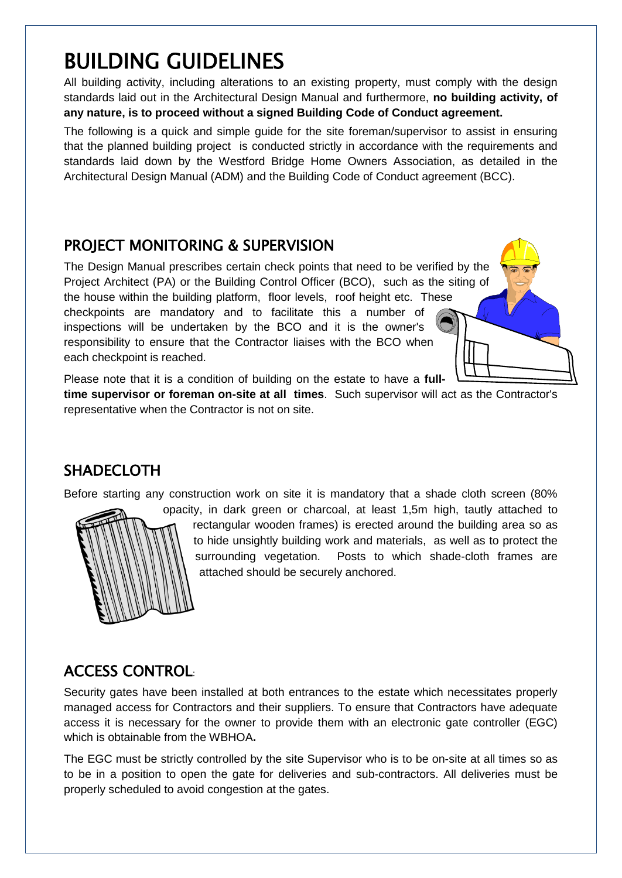# BUILDING GUIDELINES

All building activity, including alterations to an existing property, must comply with the design standards laid out in the Architectural Design Manual and furthermore, **no building activity, of any nature, is to proceed without a signed Building Code of Conduct agreement.**

The following is a quick and simple guide for the site foreman/supervisor to assist in ensuring that the planned building project is conducted strictly in accordance with the requirements and standards laid down by the Westford Bridge Home Owners Association, as detailed in the Architectural Design Manual (ADM) and the Building Code of Conduct agreement (BCC).

# PROJECT MONITORING & SUPERVISION

The Design Manual prescribes certain check points that need to be verified by the Project Architect (PA) or the Building Control Officer (BCO), such as the siting of the house within the building platform, floor levels, roof height etc. These checkpoints are mandatory and to facilitate this a number of inspections will be undertaken by the BCO and it is the owner's responsibility to ensure that the Contractor liaises with the BCO when each checkpoint is reached.

Please note that it is a condition of building on the estate to have a **full-**

**time supervisor or foreman on-site at all times**. Such supervisor will act as the Contractor's representative when the Contractor is not on site.

# SHADECLOTH

Before starting any construction work on site it is mandatory that a shade cloth screen (80%



rectangular wooden frames) is erected around the building area so as to hide unsightly building work and materials, as well as to protect the surrounding vegetation. Posts to which shade-cloth frames are attached should be securely anchored.

# ACCESS CONTROL:

Security gates have been installed at both entrances to the estate which necessitates properly managed access for Contractors and their suppliers. To ensure that Contractors have adequate access it is necessary for the owner to provide them with an electronic gate controller (EGC) which is obtainable from the WBHOA**.** 

The EGC must be strictly controlled by the site Supervisor who is to be on-site at all times so as to be in a position to open the gate for deliveries and sub-contractors. All deliveries must be properly scheduled to avoid congestion at the gates.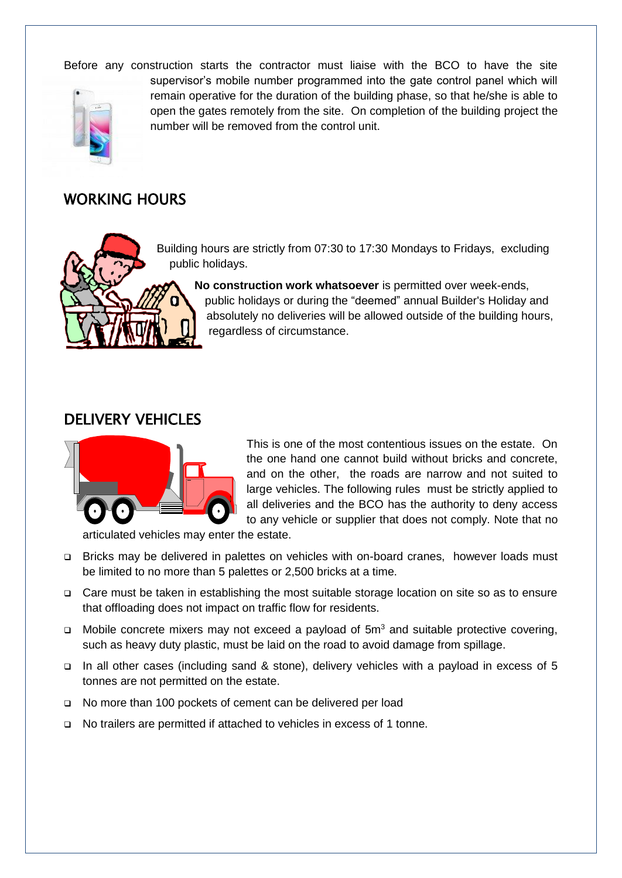Before any construction starts the contractor must liaise with the BCO to have the site



supervisor's mobile number programmed into the gate control panel which will remain operative for the duration of the building phase, so that he/she is able to open the gates remotely from the site. On completion of the building project the number will be removed from the control unit.

#### WORKING HOURS



Building hours are strictly from 07:30 to 17:30 Mondays to Fridays, excluding public holidays.

**No construction work whatsoever** is permitted over week-ends, public holidays or during the "deemed" annual Builder's Holiday and absolutely no deliveries will be allowed outside of the building hours, regardless of circumstance.

#### DELIVERY VEHICLES



This is one of the most contentious issues on the estate. On the one hand one cannot build without bricks and concrete, and on the other, the roads are narrow and not suited to large vehicles. The following rules must be strictly applied to all deliveries and the BCO has the authority to deny access to any vehicle or supplier that does not comply. Note that no

articulated vehicles may enter the estate.

- Bricks may be delivered in palettes on vehicles with on-board cranes, however loads must be limited to no more than 5 palettes or 2,500 bricks at a time.
- □ Care must be taken in establishing the most suitable storage location on site so as to ensure that offloading does not impact on traffic flow for residents.
- $\Box$  Mobile concrete mixers may not exceed a payload of 5m<sup>3</sup> and suitable protective covering, such as heavy duty plastic, must be laid on the road to avoid damage from spillage.
- □ In all other cases (including sand & stone), delivery vehicles with a payload in excess of 5 tonnes are not permitted on the estate.
- □ No more than 100 pockets of cement can be delivered per load
- No trailers are permitted if attached to vehicles in excess of 1 tonne.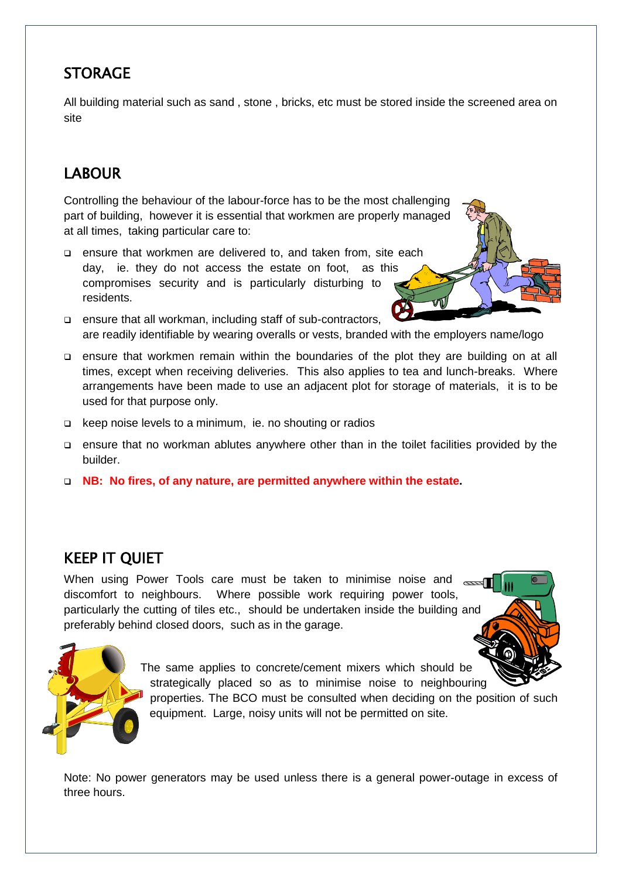# **STORAGE**

All building material such as sand , stone , bricks, etc must be stored inside the screened area on site

# LABOUR

Controlling the behaviour of the labour-force has to be the most challenging part of building, however it is essential that workmen are properly managed at all times, taking particular care to:

- ensure that workmen are delivered to, and taken from, site each day, ie. they do not access the estate on foot, as this compromises security and is particularly disturbing to residents.
- ensure that all workman, including staff of sub-contractors, are readily identifiable by wearing overalls or vests, branded with the employers name/logo
- ensure that workmen remain within the boundaries of the plot they are building on at all times, except when receiving deliveries. This also applies to tea and lunch-breaks. Where arrangements have been made to use an adjacent plot for storage of materials, it is to be used for that purpose only.
- keep noise levels to a minimum, ie. no shouting or radios
- ensure that no workman ablutes anywhere other than in the toilet facilities provided by the builder.
- **NB: No fires, of any nature, are permitted anywhere within the estate.**

# KEEP IT QUIET

When using Power Tools care must be taken to minimise noise and subset discomfort to neighbours. Where possible work requiring power tools, particularly the cutting of tiles etc., should be undertaken inside the building and preferably behind closed doors, such as in the garage.



The same applies to concrete/cement mixers which should be strategically placed so as to minimise noise to neighbouring

properties. The BCO must be consulted when deciding on the position of such equipment. Large, noisy units will not be permitted on site.

Note: No power generators may be used unless there is a general power-outage in excess of three hours.